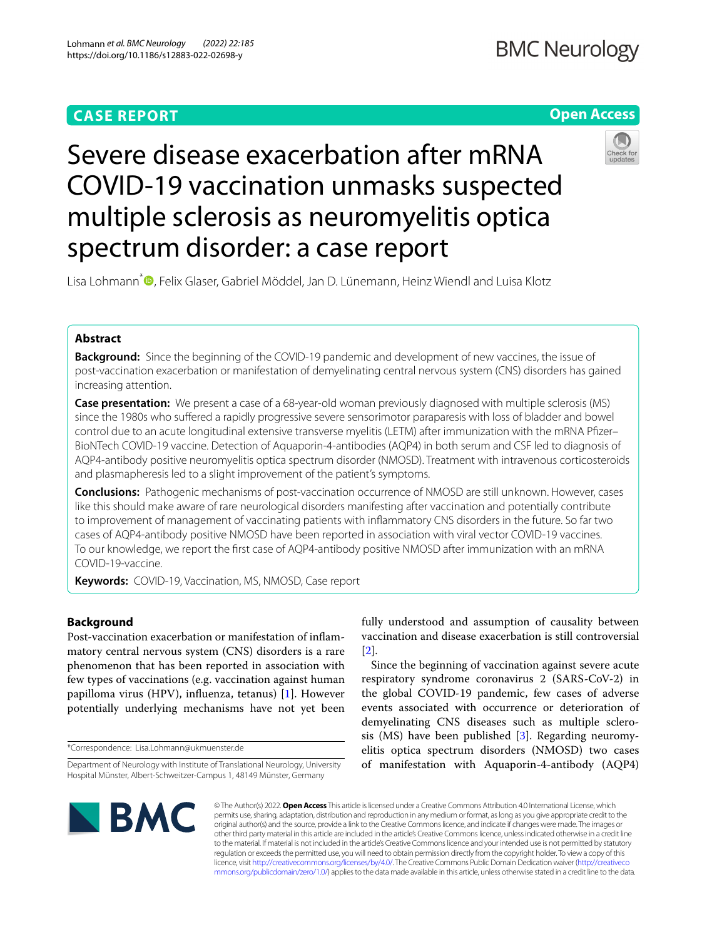# **CASE REPORT**

# **Open Access**



# Severe disease exacerbation after mRNA COVID-19 vaccination unmasks suspected multiple sclerosis as neuromyelitis optica spectrum disorder: a case report

Lisa Lohmann<sup>[\\*](http://orcid.org/0000-0003-4911-6883)</sup> <sup>O</sup>, Felix Glaser, Gabriel Möddel, Jan D. Lünemann, Heinz Wiendl and Luisa Klotz

# **Abstract**

**Background:** Since the beginning of the COVID-19 pandemic and development of new vaccines, the issue of post-vaccination exacerbation or manifestation of demyelinating central nervous system (CNS) disorders has gained increasing attention.

**Case presentation:** We present a case of a 68-year-old woman previously diagnosed with multiple sclerosis (MS) since the 1980s who sufered a rapidly progressive severe sensorimotor paraparesis with loss of bladder and bowel control due to an acute longitudinal extensive transverse myelitis (LETM) after immunization with the mRNA Pfzer– BioNTech COVID-19 vaccine. Detection of Aquaporin-4-antibodies (AQP4) in both serum and CSF led to diagnosis of AQP4-antibody positive neuromyelitis optica spectrum disorder (NMOSD). Treatment with intravenous corticosteroids and plasmapheresis led to a slight improvement of the patient's symptoms.

**Conclusions:** Pathogenic mechanisms of post-vaccination occurrence of NMOSD are still unknown. However, cases like this should make aware of rare neurological disorders manifesting after vaccination and potentially contribute to improvement of management of vaccinating patients with infammatory CNS disorders in the future. So far two cases of AQP4-antibody positive NMOSD have been reported in association with viral vector COVID-19 vaccines. To our knowledge, we report the frst case of AQP4-antibody positive NMOSD after immunization with an mRNA COVID-19-vaccine.

**Keywords:** COVID-19, Vaccination, MS, NMOSD, Case report

# **Background**

Post-vaccination exacerbation or manifestation of infammatory central nervous system (CNS) disorders is a rare phenomenon that has been reported in association with few types of vaccinations (e.g. vaccination against human papilloma virus (HPV), infuenza, tetanus) [[1\]](#page-3-0). However potentially underlying mechanisms have not yet been

\*Correspondence: Lisa.Lohmann@ukmuenster.de

fully understood and assumption of causality between vaccination and disease exacerbation is still controversial [[2\]](#page-3-1).

Since the beginning of vaccination against severe acute respiratory syndrome coronavirus 2 (SARS-CoV-2) in the global COVID-19 pandemic, few cases of adverse events associated with occurrence or deterioration of demyelinating CNS diseases such as multiple sclerosis (MS) have been published  $[3]$ . Regarding neuromyelitis optica spectrum disorders (NMOSD) two cases of manifestation with Aquaporin-4-antibody (AQP4)



© The Author(s) 2022. **Open Access** This article is licensed under a Creative Commons Attribution 4.0 International License, which permits use, sharing, adaptation, distribution and reproduction in any medium or format, as long as you give appropriate credit to the original author(s) and the source, provide a link to the Creative Commons licence, and indicate if changes were made. The images or other third party material in this article are included in the article's Creative Commons licence, unless indicated otherwise in a credit line to the material. If material is not included in the article's Creative Commons licence and your intended use is not permitted by statutory regulation or exceeds the permitted use, you will need to obtain permission directly from the copyright holder. To view a copy of this licence, visit [http://creativecommons.org/licenses/by/4.0/.](http://creativecommons.org/licenses/by/4.0/) The Creative Commons Public Domain Dedication waiver ([http://creativeco](http://creativecommons.org/publicdomain/zero/1.0/) [mmons.org/publicdomain/zero/1.0/](http://creativecommons.org/publicdomain/zero/1.0/)) applies to the data made available in this article, unless otherwise stated in a credit line to the data.

Department of Neurology with Institute of Translational Neurology, University Hospital Münster, Albert-Schweitzer-Campus 1, 48149 Münster, Germany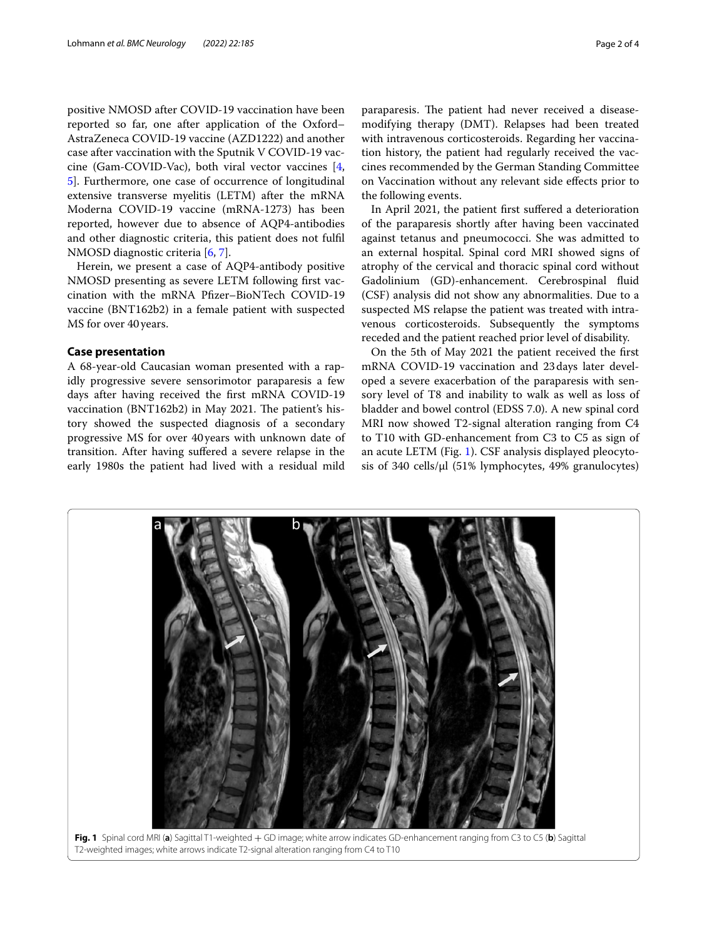positive NMOSD after COVID-19 vaccination have been reported so far, one after application of the Oxford– AstraZeneca COVID-19 vaccine (AZD1222) and another case after vaccination with the Sputnik V COVID-19 vaccine (Gam-COVID-Vac), both viral vector vaccines [\[4](#page-3-3), [5\]](#page-3-4). Furthermore, one case of occurrence of longitudinal extensive transverse myelitis (LETM) after the mRNA Moderna COVID-19 vaccine (mRNA-1273) has been reported, however due to absence of AQP4-antibodies and other diagnostic criteria, this patient does not fulfl NMOSD diagnostic criteria [[6,](#page-3-5) [7](#page-3-6)].

Herein, we present a case of AQP4-antibody positive NMOSD presenting as severe LETM following frst vaccination with the mRNA Pfzer–BioNTech COVID-19 vaccine (BNT162b2) in a female patient with suspected MS for over 40years.

# **Case presentation**

A 68-year-old Caucasian woman presented with a rapidly progressive severe sensorimotor paraparesis a few days after having received the frst mRNA COVID-19 vaccination (BNT162b2) in May 2021. The patient's history showed the suspected diagnosis of a secondary progressive MS for over 40years with unknown date of transition. After having sufered a severe relapse in the early 1980s the patient had lived with a residual mild

paraparesis. The patient had never received a diseasemodifying therapy (DMT). Relapses had been treated with intravenous corticosteroids. Regarding her vaccination history, the patient had regularly received the vaccines recommended by the German Standing Committee on Vaccination without any relevant side efects prior to the following events.

In April 2021, the patient frst sufered a deterioration of the paraparesis shortly after having been vaccinated against tetanus and pneumococci. She was admitted to an external hospital. Spinal cord MRI showed signs of atrophy of the cervical and thoracic spinal cord without Gadolinium (GD)-enhancement. Cerebrospinal fuid (CSF) analysis did not show any abnormalities. Due to a suspected MS relapse the patient was treated with intravenous corticosteroids. Subsequently the symptoms receded and the patient reached prior level of disability.

On the 5th of May 2021 the patient received the frst mRNA COVID-19 vaccination and 23days later developed a severe exacerbation of the paraparesis with sensory level of T8 and inability to walk as well as loss of bladder and bowel control (EDSS 7.0). A new spinal cord MRI now showed T2-signal alteration ranging from C4 to T10 with GD-enhancement from C3 to C5 as sign of an acute LETM (Fig. [1\)](#page-1-0). CSF analysis displayed pleocytosis of 340 cells/μl (51% lymphocytes, 49% granulocytes)



<span id="page-1-0"></span>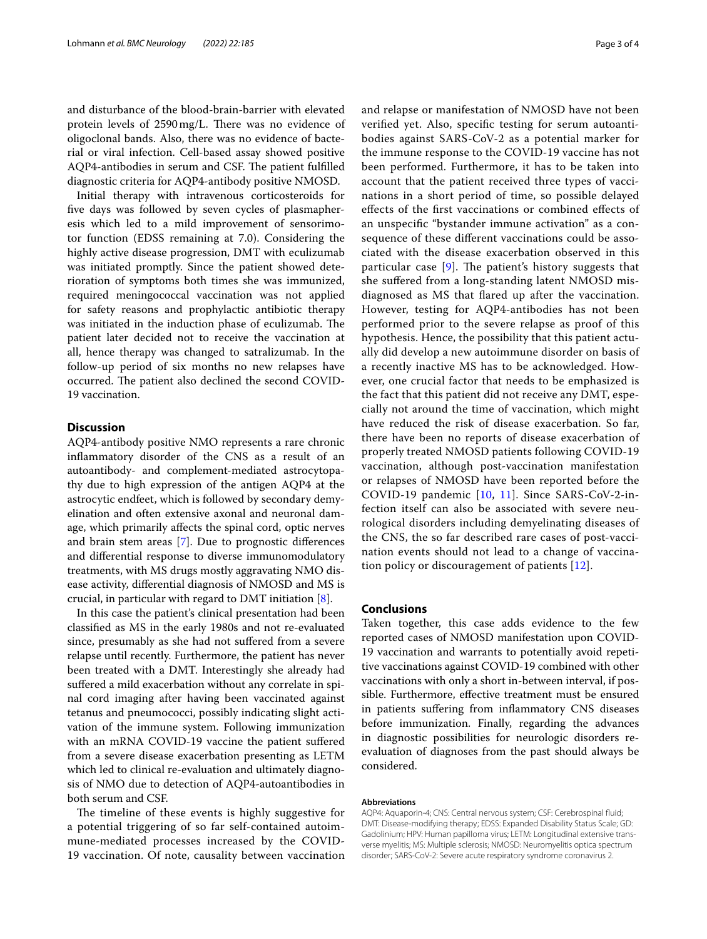and disturbance of the blood-brain-barrier with elevated protein levels of  $2590 \,\mathrm{mg/L}$ . There was no evidence of oligoclonal bands. Also, there was no evidence of bacterial or viral infection. Cell-based assay showed positive AQP4-antibodies in serum and CSF. The patient fulfilled diagnostic criteria for AQP4-antibody positive NMOSD.

Initial therapy with intravenous corticosteroids for fve days was followed by seven cycles of plasmapheresis which led to a mild improvement of sensorimotor function (EDSS remaining at 7.0). Considering the highly active disease progression, DMT with eculizumab was initiated promptly. Since the patient showed deterioration of symptoms both times she was immunized, required meningococcal vaccination was not applied for safety reasons and prophylactic antibiotic therapy was initiated in the induction phase of eculizumab. The patient later decided not to receive the vaccination at all, hence therapy was changed to satralizumab. In the follow-up period of six months no new relapses have occurred. The patient also declined the second COVID-19 vaccination.

# **Discussion**

AQP4-antibody positive NMO represents a rare chronic infammatory disorder of the CNS as a result of an autoantibody- and complement-mediated astrocytopathy due to high expression of the antigen AQP4 at the astrocytic endfeet, which is followed by secondary demyelination and often extensive axonal and neuronal damage, which primarily afects the spinal cord, optic nerves and brain stem areas [[7\]](#page-3-6). Due to prognostic diferences and diferential response to diverse immunomodulatory treatments, with MS drugs mostly aggravating NMO disease activity, diferential diagnosis of NMOSD and MS is crucial, in particular with regard to DMT initiation [\[8\]](#page-3-7).

In this case the patient's clinical presentation had been classifed as MS in the early 1980s and not re-evaluated since, presumably as she had not sufered from a severe relapse until recently. Furthermore, the patient has never been treated with a DMT. Interestingly she already had sufered a mild exacerbation without any correlate in spinal cord imaging after having been vaccinated against tetanus and pneumococci, possibly indicating slight activation of the immune system. Following immunization with an mRNA COVID-19 vaccine the patient sufered from a severe disease exacerbation presenting as LETM which led to clinical re-evaluation and ultimately diagnosis of NMO due to detection of AQP4-autoantibodies in both serum and CSF.

The timeline of these events is highly suggestive for a potential triggering of so far self-contained autoimmune-mediated processes increased by the COVID-19 vaccination. Of note, causality between vaccination and relapse or manifestation of NMOSD have not been verifed yet. Also, specifc testing for serum autoantibodies against SARS-CoV-2 as a potential marker for the immune response to the COVID-19 vaccine has not been performed. Furthermore, it has to be taken into account that the patient received three types of vaccinations in a short period of time, so possible delayed efects of the frst vaccinations or combined efects of an unspecifc "bystander immune activation" as a consequence of these diferent vaccinations could be associated with the disease exacerbation observed in this particular case  $[9]$  $[9]$ . The patient's history suggests that she sufered from a long-standing latent NMOSD misdiagnosed as MS that fared up after the vaccination. However, testing for AQP4-antibodies has not been performed prior to the severe relapse as proof of this hypothesis. Hence, the possibility that this patient actually did develop a new autoimmune disorder on basis of a recently inactive MS has to be acknowledged. However, one crucial factor that needs to be emphasized is the fact that this patient did not receive any DMT, especially not around the time of vaccination, which might have reduced the risk of disease exacerbation. So far, there have been no reports of disease exacerbation of properly treated NMOSD patients following COVID-19 vaccination, although post-vaccination manifestation or relapses of NMOSD have been reported before the COVID-19 pandemic [\[10,](#page-3-9) [11](#page-3-10)]. Since SARS-CoV-2-infection itself can also be associated with severe neurological disorders including demyelinating diseases of the CNS, the so far described rare cases of post-vaccination events should not lead to a change of vaccination policy or discouragement of patients [[12](#page-3-11)].

# **Conclusions**

Taken together, this case adds evidence to the few reported cases of NMOSD manifestation upon COVID-19 vaccination and warrants to potentially avoid repetitive vaccinations against COVID-19 combined with other vaccinations with only a short in-between interval, if possible. Furthermore, efective treatment must be ensured in patients sufering from infammatory CNS diseases before immunization. Finally, regarding the advances in diagnostic possibilities for neurologic disorders reevaluation of diagnoses from the past should always be considered.

#### **Abbreviations**

AQP4: Aquaporin-4; CNS: Central nervous system; CSF: Cerebrospinal fuid; DMT: Disease-modifying therapy; EDSS: Expanded Disability Status Scale; GD: Gadolinium; HPV: Human papilloma virus; LETM: Longitudinal extensive transverse myelitis; MS: Multiple sclerosis; NMOSD: Neuromyelitis optica spectrum disorder; SARS-CoV-2: Severe acute respiratory syndrome coronavirus 2.